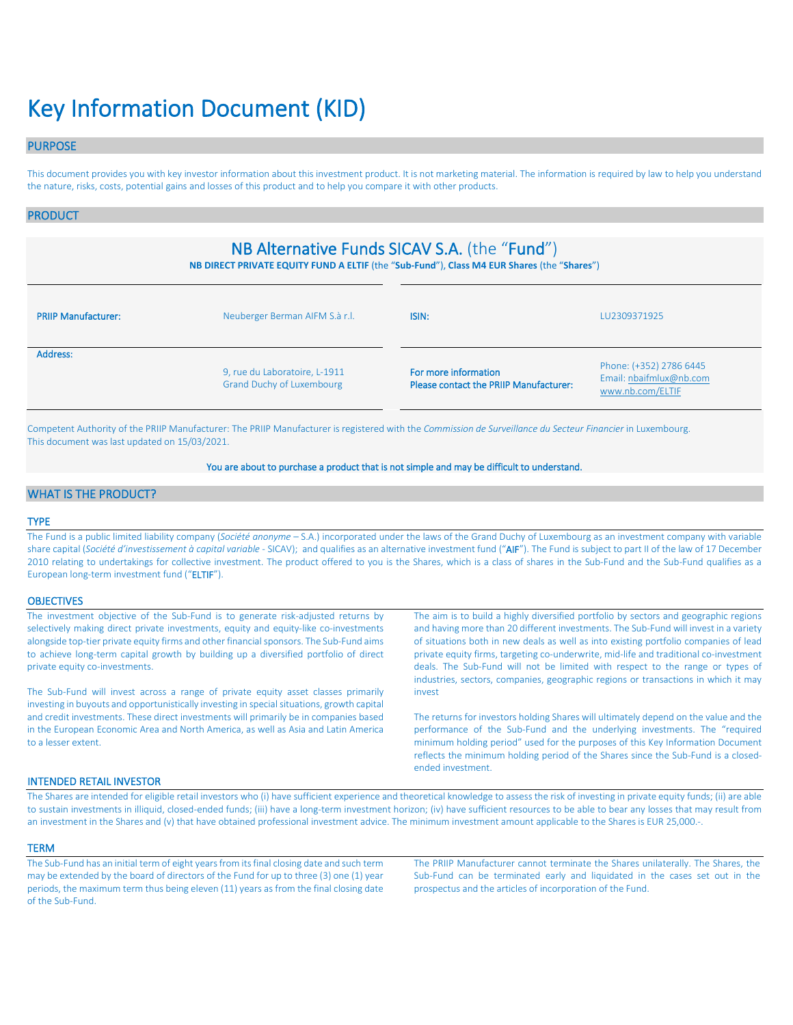# Key Information Document (KID)

# PURPOSE

This document provides you with key investor information about this investment product. It is not marketing material. The information is required by law to help you understand the nature, risks, costs, potential gains and losses of this product and to help you compare it with other products.

### PRODUCT

# NB Alternative Funds SICAV S.A. (the "Fund")

**NB DIRECT PRIVATE EQUITY FUND A ELTIF** (the "**Sub-Fund**"), **Class M4 EUR Shares** (the "**Shares**")

| <b>PRIIP Manufacturer:</b> | Neuberger Berman AIFM S.à r.l.                                    | ISIN:                                                          | LU2309371925                                                           |  |
|----------------------------|-------------------------------------------------------------------|----------------------------------------------------------------|------------------------------------------------------------------------|--|
| Address:                   | 9, rue du Laboratoire, L-1911<br><b>Grand Duchy of Luxembourg</b> | For more information<br>Please contact the PRIIP Manufacturer: | Phone: (+352) 2786 6445<br>Email: nbaifmlux@nb.com<br>www.nb.com/ELTIF |  |

Competent Authority of the PRIIP Manufacturer: The PRIIP Manufacturer is registered with the *Commission de Surveillance du Secteur Financier* in Luxembourg. This document was last updated on 15/03/2021.

#### You are about to purchase a product that is not simple and may be difficult to understand.

# WHAT IS THE PRODUCT?

#### TYPE

The Fund is a public limited liability company (*Société anonyme* – S.A.) incorporated under the laws of the Grand Duchy of Luxembourg as an investment company with variable share capital (*Société d'investissement à capital variable* - SICAV); and qualifies as an alternative investment fund ("AIF"). The Fund is subject to part II of the law of 17 December 2010 relating to undertakings for collective investment. The product offered to you is the Shares, which is a class of shares in the Sub-Fund and the Sub-Fund qualifies as a European long-term investment fund ("ELTIF").

#### **OBJECTIVES**

| The investment objective of the Sub-Fund is to generate risk-adjusted returns by<br>selectively making direct private investments, equity and equity-like co-investments                                                                                                                         | The aim is to build a highly diversified portfolio by sectors and geographic regions<br>and having more than 20 different investments. The Sub-Fund will invest in a variety                                                                                                                                                                                  |
|--------------------------------------------------------------------------------------------------------------------------------------------------------------------------------------------------------------------------------------------------------------------------------------------------|---------------------------------------------------------------------------------------------------------------------------------------------------------------------------------------------------------------------------------------------------------------------------------------------------------------------------------------------------------------|
| alongside top-tier private equity firms and other financial sponsors. The Sub-Fund aims<br>to achieve long-term capital growth by building up a diversified portfolio of direct<br>private equity co-investments.                                                                                | of situations both in new deals as well as into existing portfolio companies of lead<br>private equity firms, targeting co-underwrite, mid-life and traditional co-investment<br>deals. The Sub-Fund will not be limited with respect to the range or types of                                                                                                |
| The Sub-Fund will invest across a range of private equity asset classes primarily                                                                                                                                                                                                                | industries, sectors, companies, geographic regions or transactions in which it may<br>invest                                                                                                                                                                                                                                                                  |
| investing in buyouts and opportunistically investing in special situations, growth capital<br>and credit investments. These direct investments will primarily be in companies based<br>in the European Economic Area and North America, as well as Asia and Latin America<br>to a lesser extent. | The returns for investors holding Shares will ultimately depend on the value and the<br>performance of the Sub-Fund and the underlying investments. The "required<br>minimum holding period" used for the purposes of this Key Information Document<br>reflects the minimum holding period of the Shares since the Sub-Fund is a closed-<br>ended investment. |
|                                                                                                                                                                                                                                                                                                  |                                                                                                                                                                                                                                                                                                                                                               |

#### INTENDED RETAIL INVESTOR

The Shares are intended for eligible retail investors who (i) have sufficient experience and theoretical knowledge to assess the risk of investing in private equity funds; (ii) are able to sustain investments in illiquid, closed-ended funds; (iii) have a long-term investment horizon; (iv) have sufficient resources to be able to bear any losses that may result from an investment in the Shares and (v) that have obtained professional investment advice. The minimum investment amount applicable to the Shares is EUR 25,000.-.

#### **TERM**

The Sub-Fund has an initial term of eight years from its final closing date and such term may be extended by the board of directors of the Fund for up to three (3) one (1) year periods, the maximum term thus being eleven (11) years as from the final closing date of the Sub-Fund.

The PRIIP Manufacturer cannot terminate the Shares unilaterally. The Shares, the Sub-Fund can be terminated early and liquidated in the cases set out in the prospectus and the articles of incorporation of the Fund.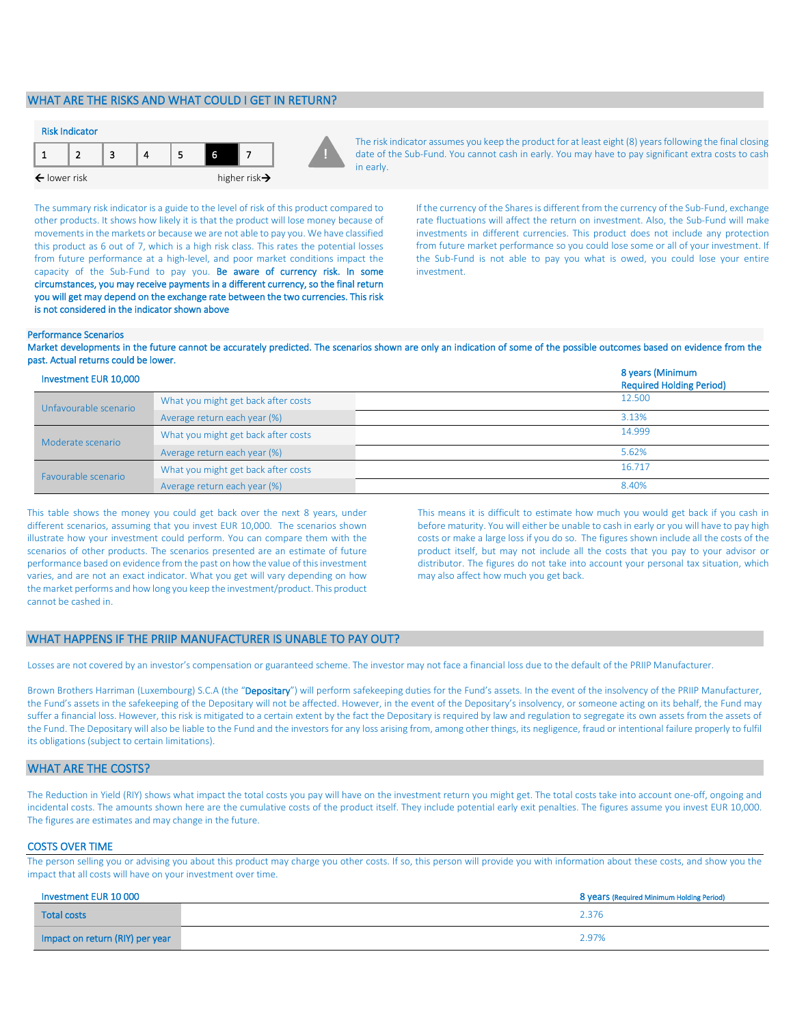# WHAT ARE THE RISKS AND WHAT COULD I GET IN RETURN?



The risk indicator assumes you keep the product for at least eight (8) years following the final closing date of the Sub-Fund. You cannot cash in early. You may have to pay significant extra costs to cash in early.

The summary risk indicator is a guide to the level of risk of this product compared to other products. It shows how likely it is that the product will lose money because of movements in the markets or because we are not able to pay you. We have classified this product as 6 out of 7, which is a high risk class. This rates the potential losses from future performance at a high-level, and poor market conditions impact the capacity of the Sub-Fund to pay you. Be aware of currency risk. In some circumstances, you may receive payments in a different currency, so the final return you will get may depend on the exchange rate between the two currencies. This risk is not considered in the indicator shown above

If the currency of the Shares is different from the currency of the Sub-Fund, exchange rate fluctuations will affect the return on investment. Also, the Sub-Fund will make investments in different currencies. This product does not include any protection from future market performance so you could lose some or all of your investment. If the Sub-Fund is not able to pay you what is owed, you could lose your entire investment.

#### Performance Scenarios

Market developments in the future cannot be accurately predicted. The scenarios shown are only an indication of some of the possible outcomes based on evidence from the past. Actual returns could be lower.

| Investment EUR 10,000 |                                     | 8 years (Minimum<br><b>Required Holding Period)</b> |
|-----------------------|-------------------------------------|-----------------------------------------------------|
| Unfavourable scenario | What you might get back after costs | 12.500                                              |
|                       | Average return each year (%)        | 3.13%                                               |
| Moderate scenario     | What you might get back after costs | 14.999                                              |
|                       | Average return each year (%)        | 5.62%                                               |
| Favourable scenario   | What you might get back after costs | 16.717                                              |
|                       | Average return each year (%)        | 8.40%                                               |

This table shows the money you could get back over the next 8 years, under different scenarios, assuming that you invest EUR 10,000. The scenarios shown illustrate how your investment could perform. You can compare them with the scenarios of other products. The scenarios presented are an estimate of future performance based on evidence from the past on how the value of this investment varies, and are not an exact indicator. What you get will vary depending on how the market performs and how long you keep the investment/product. This product cannot be cashed in.

This means it is difficult to estimate how much you would get back if you cash in before maturity. You will either be unable to cash in early or you will have to pay high costs or make a large loss if you do so. The figures shown include all the costs of the product itself, but may not include all the costs that you pay to your advisor or distributor. The figures do not take into account your personal tax situation, which may also affect how much you get back.

#### WHAT HAPPENS IF THE PRIIP MANUFACTURER IS UNABLE TO PAY OUT?

Losses are not covered by an investor's compensation or guaranteed scheme. The investor may not face a financial loss due to the default of the PRIIP Manufacturer.

Brown Brothers Harriman (Luxembourg) S.C.A (the "Depositary") will perform safekeeping duties for the Fund's assets. In the event of the insolvency of the PRIIP Manufacturer, the Fund's assets in the safekeeping of the Depositary will not be affected. However, in the event of the Depositary's insolvency, or someone acting on its behalf, the Fund may suffer a financial loss. However, this risk is mitigated to a certain extent by the fact the Depositary is required by law and regulation to segregate its own assets from the assets of the Fund. The Depositary will also be liable to the Fund and the investors for any loss arising from, among other things, its negligence, fraud or intentional failure properly to fulfil its obligations (subject to certain limitations).

# WHAT ARE THE COSTS?

The Reduction in Yield (RIY) shows what impact the total costs you pay will have on the investment return you might get. The total costs take into account one-off, ongoing and incidental costs. The amounts shown here are the cumulative costs of the product itself. They include potential early exit penalties. The figures assume you invest EUR 10,000. The figures are estimates and may change in the future.

#### COSTS OVER TIME

The person selling you or advising you about this product may charge you other costs. If so, this person will provide you with information about these costs, and show you the impact that all costs will have on your investment over time.

| Investment EUR 10 000           | 8 years (Required Minimum Holding Period) |
|---------------------------------|-------------------------------------------|
| <b>Total costs</b>              | 2.376                                     |
| Impact on return (RIY) per year | 2.97%                                     |